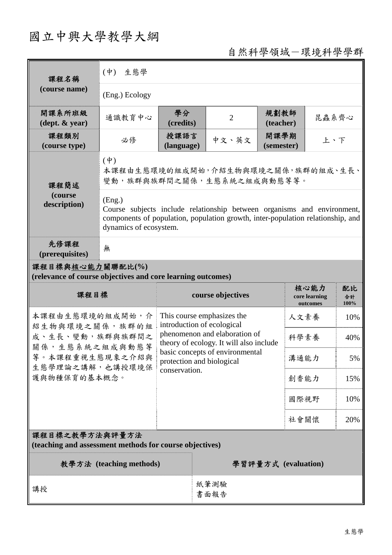# 國立中興大學教學大綱

## 自然科學領域-環境科學學群

| 課程名稱                                                                            | 生態學<br>$(\dot{\Psi})$                                                                                                                                                                          |                    |                                                                                                        |                    |                                   |                  |  |
|---------------------------------------------------------------------------------|------------------------------------------------------------------------------------------------------------------------------------------------------------------------------------------------|--------------------|--------------------------------------------------------------------------------------------------------|--------------------|-----------------------------------|------------------|--|
| (course name)                                                                   | (Eng.) Ecology                                                                                                                                                                                 |                    |                                                                                                        |                    |                                   |                  |  |
| 開課系所班級<br>$(\text{dept.} \& \text{ year})$                                      | 通識教育中心                                                                                                                                                                                         | 學分<br>(credits)    | $\overline{2}$                                                                                         | 規劃教師<br>(teacher)  | 昆蟲系齊心                             |                  |  |
| 課程類別<br>(course type)                                                           | 必修                                                                                                                                                                                             | 授課語言<br>(language) | 中文、英文                                                                                                  | 開課學期<br>(semester) | 上、下                               |                  |  |
| 課程簡述                                                                            | $(\dagger)$<br>本課程由生態環境的組成開始,介紹生物與環境之關係,族群的組成、生長、<br>變動,族群與族群間之關係,生態系統之組成與動態等等。                                                                                                                |                    |                                                                                                        |                    |                                   |                  |  |
| (course<br>description)                                                         | (Eng.)<br>Course subjects include relationship between organisms and environment,<br>components of population, population growth, inter-population relationship, and<br>dynamics of ecosystem. |                    |                                                                                                        |                    |                                   |                  |  |
| 先修課程<br>(prerequisites)                                                         | 無                                                                                                                                                                                              |                    |                                                                                                        |                    |                                   |                  |  |
| 課程目標與核心能力關聯配比(%)<br>(relevance of course objectives and core learning outcomes) |                                                                                                                                                                                                |                    |                                                                                                        |                    |                                   |                  |  |
| 課程目標                                                                            |                                                                                                                                                                                                |                    | course objectives                                                                                      |                    | 核心能力<br>core learning<br>outcomes | 配比<br>合計<br>100% |  |
| 本課程由生態環境的組成開始,介                                                                 |                                                                                                                                                                                                |                    |                                                                                                        |                    |                                   |                  |  |
|                                                                                 |                                                                                                                                                                                                |                    | This course emphasizes the                                                                             |                    | 人文素養                              | 10%              |  |
| 紹生物與環境之關係,族群的組<br>成、生長、變動,族群與族群間之                                               |                                                                                                                                                                                                |                    | introduction of ecological<br>phenomenon and elaboration of<br>theory of ecology. It will also include |                    | 科學素養                              | 40%              |  |
| 關係,生態系統之組成與動態等<br>等。本課程重視生態現象之介紹與                                               |                                                                                                                                                                                                |                    | basic concepts of environmental<br>protection and biological                                           |                    | 溝通能力                              | 5%               |  |
| 生態學理論之講解,也講授環境保<br>護與物種保育的基本概念。                                                 |                                                                                                                                                                                                | conservation.      |                                                                                                        |                    | 創香能力                              | 15%              |  |
|                                                                                 |                                                                                                                                                                                                |                    |                                                                                                        |                    | 國際視野                              | 10%              |  |
|                                                                                 |                                                                                                                                                                                                |                    |                                                                                                        |                    | 社會關懷                              | 20%              |  |
| 課程目標之教學方法與評量方法<br>(teaching and assessment methods for course objectives)       |                                                                                                                                                                                                |                    |                                                                                                        |                    |                                   |                  |  |
|                                                                                 | 教學方法 (teaching methods)                                                                                                                                                                        |                    |                                                                                                        |                    | 學習評量方式 (evaluation)               |                  |  |